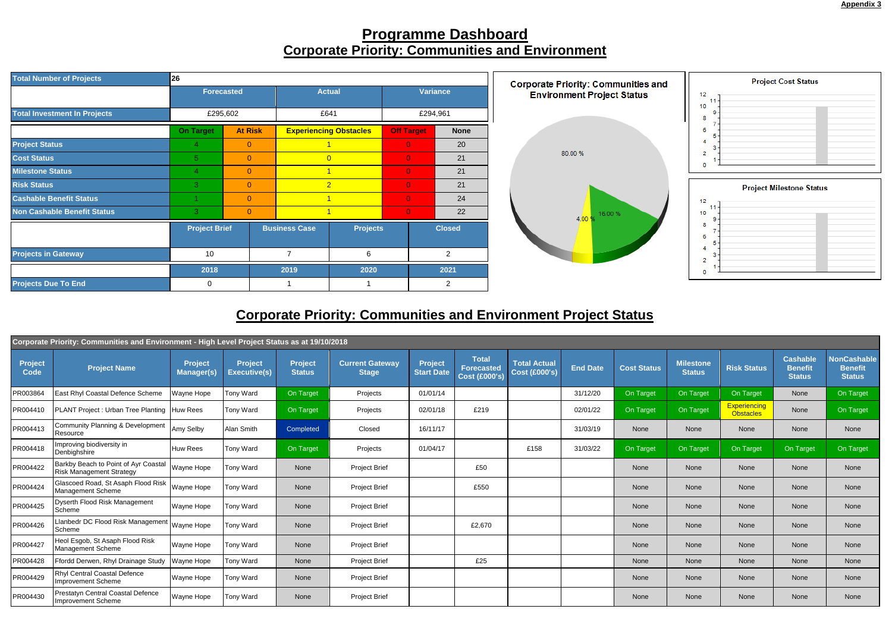

## **Programme Dashboard Corporate Priority: Communities and Environment**

| <b>Total Number of Projects</b>     | 26                                 |                   |                      | <b>Corporate Priority: Communities and</b> |                   |                |                 |                                   |
|-------------------------------------|------------------------------------|-------------------|----------------------|--------------------------------------------|-------------------|----------------|-----------------|-----------------------------------|
|                                     |                                    | <b>Forecasted</b> |                      | <b>Actual</b>                              |                   |                | <b>Variance</b> | <b>Environment Project Status</b> |
| <b>Total Investment In Projects</b> | £295,602                           |                   | £641                 |                                            |                   | £294,961       |                 |                                   |
|                                     | <b>On Target</b><br><b>At Risk</b> |                   |                      | <b>Experiencing Obstacles</b>              | <b>Off Target</b> |                | <b>None</b>     |                                   |
| <b>Project Status</b>               | 4                                  | $\overline{0}$    |                      |                                            | $\overline{0}$    |                | 20              |                                   |
| <b>Cost Status</b>                  | 5                                  | $\overline{0}$    |                      | $\overline{0}$                             | $\mathbf{0}$      |                | 21              | 80.00 %                           |
| <b>Milestone Status</b>             | 4                                  | $\overline{0}$    | $\overline{1}$       |                                            | $\overline{0}$    |                | 21              |                                   |
| <b>Risk Status</b>                  | 3                                  | $\overline{0}$    |                      | $\overline{2}$                             | $\overline{0}$    |                | 21              |                                   |
| <b>Cashable Benefit Status</b>      |                                    | $\overline{0}$    | $\overline{1}$       |                                            | $\overline{0}$    |                | 24              |                                   |
| <b>Non Cashable Benefit Status</b>  | 3                                  | $\mathbf{0}$      |                      |                                            | $\mathbf{0}$      |                | 22              | 16.00%<br>4,00 %                  |
|                                     | <b>Project Brief</b>               |                   | <b>Business Case</b> | <b>Projects</b>                            |                   | <b>Closed</b>  |                 |                                   |
| <b>Projects in Gateway</b>          | 10<br>2018                         |                   | 7                    | 6                                          |                   | $\overline{2}$ |                 |                                   |
|                                     |                                    |                   | 2019                 | 2020                                       |                   | 2021           |                 |                                   |
| <b>Projects Due To End</b>          | 0                                  |                   |                      |                                            |                   | 2              |                 |                                   |

## **Corporate Priority: Communities and Environment Project Status**

| Corporate Priority: Communities and Environment - High Level Project Status as at 19/10/2018 |                                                                         |                              |                                       |                                 |                                        |                              |                                               |                                             |                 |                    |                                   |                                         |                                                    |                                                       |
|----------------------------------------------------------------------------------------------|-------------------------------------------------------------------------|------------------------------|---------------------------------------|---------------------------------|----------------------------------------|------------------------------|-----------------------------------------------|---------------------------------------------|-----------------|--------------------|-----------------------------------|-----------------------------------------|----------------------------------------------------|-------------------------------------------------------|
| <b>Project</b><br><b>Code</b>                                                                | <b>Project Name</b>                                                     | Project<br><b>Manager(s)</b> | <b>Project</b><br><b>Executive(s)</b> | <b>Project</b><br><b>Status</b> | <b>Current Gateway</b><br><b>Stage</b> | Project<br><b>Start Date</b> | <b>Total</b><br>Forecasted<br>$Cost$ (£000's) | <b>Total Actual</b><br><b>Cost (£000's)</b> | <b>End Date</b> | <b>Cost Status</b> | <b>Milestone</b><br><b>Status</b> | <b>Risk Status</b>                      | <b>Cashable</b><br><b>Benefit</b><br><b>Status</b> | <b>NonCashable</b><br><b>Benefit</b><br><b>Status</b> |
| PR003864                                                                                     | East Rhyl Coastal Defence Scheme                                        | Wayne Hope                   | <b>Tony Ward</b>                      | On Target                       | Projects                               | 01/01/14                     |                                               |                                             | 31/12/20        | On Target          | On Target                         | On Target                               | None                                               | On Target                                             |
| PR004410                                                                                     | PLANT Project: Urban Tree Planting   Huw Rees                           |                              | <b>Tony Ward</b>                      | On Target                       | Projects                               | 02/01/18                     | £219                                          |                                             | 02/01/22        | On Target          | On Target                         | <b>Experiencing</b><br><b>Obstacles</b> | None                                               | On Target                                             |
| PR004413                                                                                     | Community Planning & Development<br>Resource                            | Amy Selby                    | Alan Smith                            | Completed                       | Closed                                 | 16/11/17                     |                                               |                                             | 31/03/19        | None               | None                              | None                                    | None                                               | None                                                  |
| PR004418                                                                                     | Improving biodiversity in<br>Denbighshire                               | Huw Rees                     | <b>Tony Ward</b>                      | On Target                       | Projects                               | 01/04/17                     |                                               | £158                                        | 31/03/22        | On Target          | On Target                         | On Target                               | On Target                                          | On Target                                             |
| PR004422                                                                                     | Barkby Beach to Point of Ayr Coastal<br><b>Risk Management Strategy</b> | Wayne Hope                   | Tony Ward                             | None                            | <b>Project Brief</b>                   |                              | £50                                           |                                             |                 | None               | None                              | None                                    | None                                               | None                                                  |
| PR004424                                                                                     | Glascoed Road, St Asaph Flood Risk<br>Management Scheme                 | Wayne Hope                   | Tony Ward                             | None                            | <b>Project Brief</b>                   |                              | £550                                          |                                             |                 | None               | None                              | None                                    | None                                               | None                                                  |
| PR004425                                                                                     | Dyserth Flood Risk Management<br>Scheme                                 | Wayne Hope                   | Tony Ward                             | None                            | <b>Project Brief</b>                   |                              |                                               |                                             |                 | None               | None                              | None                                    | None                                               | None                                                  |
| PR004426                                                                                     | Llanbedr DC Flood Risk Management<br>Scheme                             | <b>Wayne Hope</b>            | Tony Ward                             | None                            | <b>Project Brief</b>                   |                              | £2,670                                        |                                             |                 | None               | None                              | None                                    | None                                               | None                                                  |
| PR004427                                                                                     | Heol Esgob, St Asaph Flood Risk<br>Management Scheme                    | Wayne Hope                   | <b>Tony Ward</b>                      | None                            | <b>Project Brief</b>                   |                              |                                               |                                             |                 | None               | None                              | None                                    | None                                               | None                                                  |
| PR004428                                                                                     | Ffordd Derwen, Rhyl Drainage Study                                      | Wayne Hope                   | <b>Tony Ward</b>                      | None                            | <b>Project Brief</b>                   |                              | £25                                           |                                             |                 | None               | None                              | None                                    | None                                               | None                                                  |
| PR004429                                                                                     | Rhyl Central Coastal Defence<br>Improvement Scheme                      | Wayne Hope                   | Tony Ward                             | None                            | <b>Project Brief</b>                   |                              |                                               |                                             |                 | None               | None                              | <b>None</b>                             | None                                               | None                                                  |
| PR004430                                                                                     | Prestatyn Central Coastal Defence<br>Improvement Scheme                 | Wayne Hope                   | <b>Tony Ward</b>                      | None                            | <b>Project Brief</b>                   |                              |                                               |                                             |                 | None               | None                              | None                                    | None                                               | None                                                  |